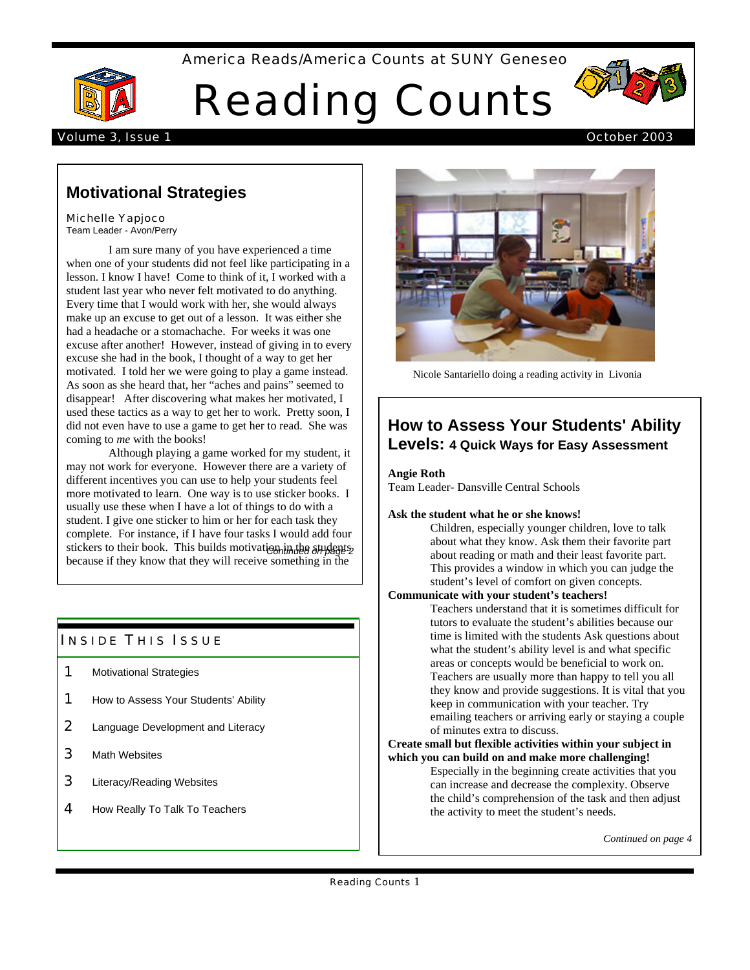### America Reads/America Counts at SUNY Geneseo



# Reading Counts



#### Volume 3, Issue 1 October 2003

### **Motivational Strategies**

#### Michelle Yapjoco

Team Leader - Avon/Perry

I am sure many of you have experienced a time when one of your students did not feel like participating in a lesson. I know I have! Come to think of it, I worked with a student last year who never felt motivated to do anything. Every time that I would work with her, she would always make up an excuse to get out of a lesson. It was either she had a headache or a stomachache. For weeks it was one excuse after another! However, instead of giving in to every excuse she had in the book, I thought of a way to get her motivated. I told her we were going to play a game instead. As soon as she heard that, her "aches and pains" seemed to disappear! After discovering what makes her motivated, I used these tactics as a way to get her to work. Pretty soon, I did not even have to use a game to get her to read. She was coming to *me* with the books!

Although playing a game worked for my student, it may not work for everyone. However there are a variety of different incentives you can use to help your students feel more motivated to learn. One way is to use sticker books. I usually use these when I have a lot of things to do with a student. I give one sticker to him or her for each task they complete. For instance, if I have four tasks I would add four stickers to their book. This builds motivation in the students because if they know that they will receive something in the

### **INSIDE THIS ISSUE**

- 1 Motivational Strategies
- **1** How to Assess Your Students' Ability
- 2 Language Development and Literacy
- 3 Math Websites
- 3 Literacy/Reading Websites
- 4 How Really To Talk To Teachers



Nicole Santariello doing a reading activity in Livonia

### **How to Assess Your Students' Ability Levels: 4 Quick Ways for Easy Assessment**

**Angie Roth**

Team Leader- Dansville Central Schools

#### **Ask the student what he or she knows!**

Children, especially younger children, love to talk about what they know. Ask them their favorite part about reading or math and their least favorite part. This provides a window in which you can judge the student's level of comfort on given concepts.

### **Communicate with your student's teachers!**

Teachers understand that it is sometimes difficult for tutors to evaluate the student's abilities because our time is limited with the students Ask questions about what the student's ability level is and what specific areas or concepts would be beneficial to work on. Teachers are usually more than happy to tell you all they know and provide suggestions. It is vital that you keep in communication with your teacher. Try emailing teachers or arriving early or staying a couple of minutes extra to discuss.

#### **Create small but flexible activities within your subject in which you can build on and make more challenging!**

Especially in the beginning create activities that you can increase and decrease the complexity. Observe the child's comprehension of the task and then adjust the activity to meet the student's needs.

*Continued on page 4*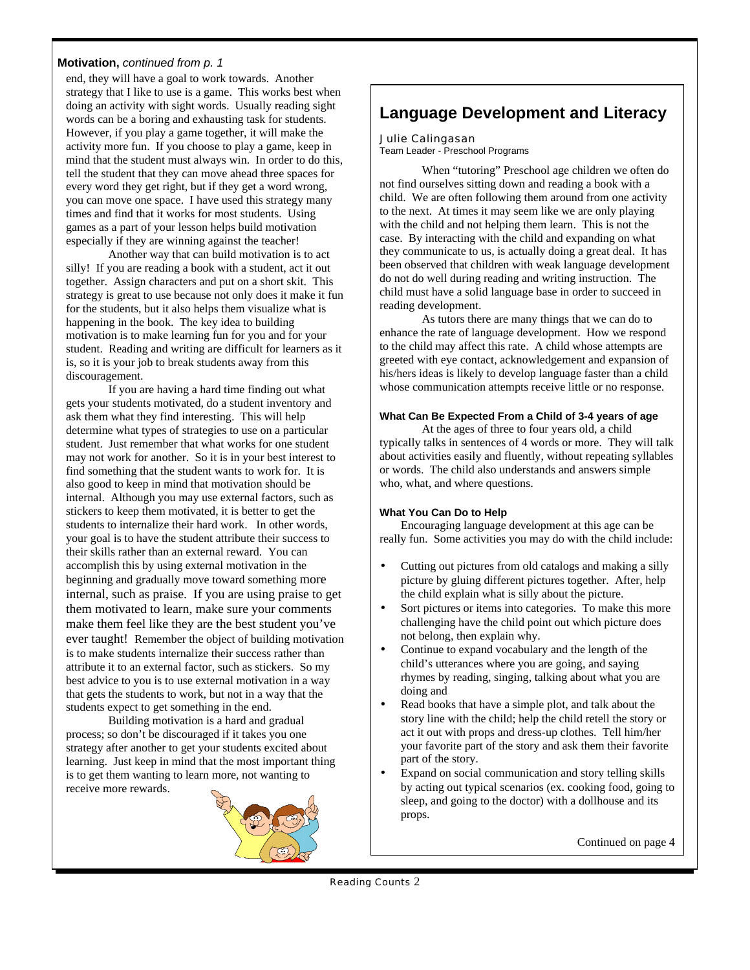### **Motivation,** *continued from p. 1*

end, they will have a goal to work towards. Another strategy that I like to use is a game. This works best when doing an activity with sight words. Usually reading sight words can be a boring and exhausting task for students. However, if you play a game together, it will make the activity more fun. If you choose to play a game, keep in mind that the student must always win. In order to do this, tell the student that they can move ahead three spaces for every word they get right, but if they get a word wrong, you can move one space. I have used this strategy many times and find that it works for most students. Using games as a part of your lesson helps build motivation especially if they are winning against the teacher!

Another way that can build motivation is to act silly! If you are reading a book with a student, act it out together. Assign characters and put on a short skit. This strategy is great to use because not only does it make it fun for the students, but it also helps them visualize what is happening in the book. The key idea to building motivation is to make learning fun for you and for your student. Reading and writing are difficult for learners as it is, so it is your job to break students away from this discouragement.

If you are having a hard time finding out what gets your students motivated, do a student inventory and ask them what they find interesting. This will help determine what types of strategies to use on a particular student. Just remember that what works for one student may not work for another. So it is in your best interest to find something that the student wants to work for. It is also good to keep in mind that motivation should be internal. Although you may use external factors, such as stickers to keep them motivated, it is better to get the students to internalize their hard work. In other words, your goal is to have the student attribute their success to their skills rather than an external reward. You can accomplish this by using external motivation in the beginning and gradually move toward something more internal, such as praise. If you are using praise to get them motivated to learn, make sure your comments make them feel like they are the best student you've ever taught! Remember the object of building motivation is to make students internalize their success rather than attribute it to an external factor, such as stickers. So my best advice to you is to use external motivation in a way that gets the students to work, but not in a way that the students expect to get something in the end.

Building motivation is a hard and gradual process; so don't be discouraged if it takes you one strategy after another to get your students excited about learning. Just keep in mind that the most important thing is to get them wanting to learn more, not wanting to receive more rewards.



# **Language Development and Literacy**

#### Julie Calingasan

Team Leader - Preschool Programs

When "tutoring" Preschool age children we often do not find ourselves sitting down and reading a book with a child. We are often following them around from one activity to the next. At times it may seem like we are only playing with the child and not helping them learn. This is not the case. By interacting with the child and expanding on what they communicate to us, is actually doing a great deal. It has been observed that children with weak language development do not do well during reading and writing instruction. The child must have a solid language base in order to succeed in reading development.

As tutors there are many things that we can do to enhance the rate of language development. How we respond to the child may affect this rate. A child whose attempts are greeted with eye contact, acknowledgement and expansion of his/hers ideas is likely to develop language faster than a child whose communication attempts receive little or no response.

#### **What Can Be Expected From a Child of 3-4 years of age**

At the ages of three to four years old, a child typically talks in sentences of 4 words or more. They will talk about activities easily and fluently, without repeating syllables or words. The child also understands and answers simple who, what, and where questions.

#### **What You Can Do to Help**

Encouraging language development at this age can be really fun. Some activities you may do with the child include:

- Cutting out pictures from old catalogs and making a silly picture by gluing different pictures together. After, help the child explain what is silly about the picture.
- Sort pictures or items into categories. To make this more challenging have the child point out which picture does not belong, then explain why.
- Continue to expand vocabulary and the length of the child's utterances where you are going, and saying rhymes by reading, singing, talking about what you are doing and
- Read books that have a simple plot, and talk about the story line with the child; help the child retell the story or act it out with props and dress-up clothes. Tell him/her your favorite part of the story and ask them their favorite part of the story.
- Expand on social communication and story telling skills by acting out typical scenarios (ex. cooking food, going to sleep, and going to the doctor) with a dollhouse and its props.

Continued on page 4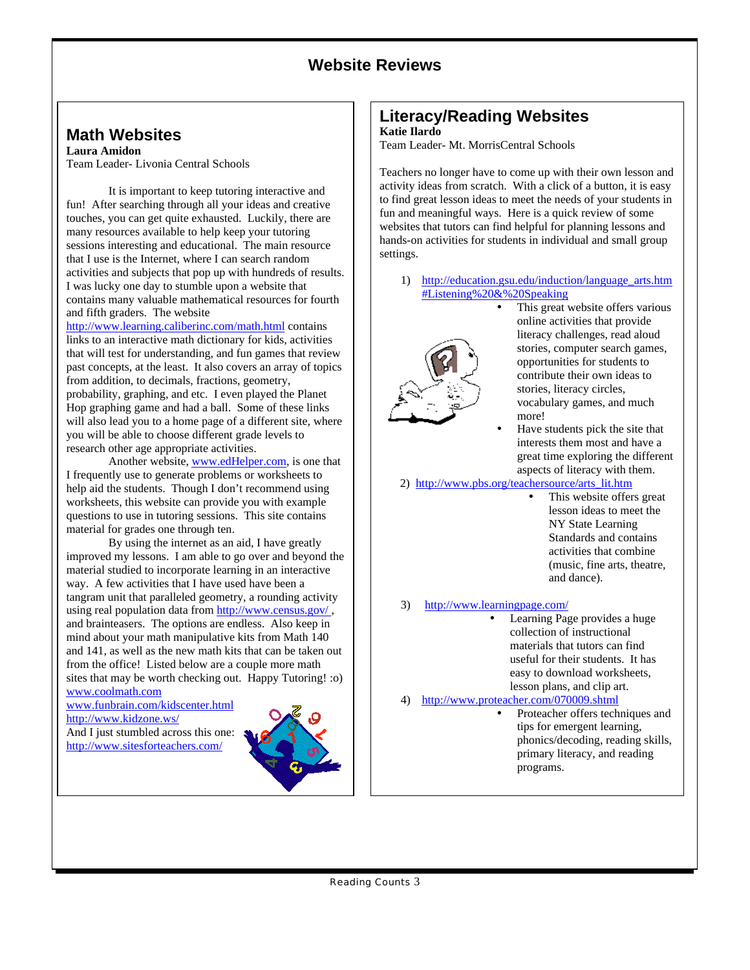# **Website Reviews**

## **Math Websites**

**Laura Amidon** Team Leader- Livonia Central Schools

It is important to keep tutoring interactive and fun! After searching through all your ideas and creative touches, you can get quite exhausted. Luckily, there are many resources available to help keep your tutoring sessions interesting and educational. The main resource that I use is the Internet, where I can search random activities and subjects that pop up with hundreds of results. I was lucky one day to stumble upon a website that contains many valuable mathematical resources for fourth and fifth graders. The website

http://www.learning.caliberinc.com/math.html contains links to an interactive math dictionary for kids, activities that will test for understanding, and fun games that review past concepts, at the least. It also covers an array of topics from addition, to decimals, fractions, geometry, probability, graphing, and etc. I even played the Planet Hop graphing game and had a ball. Some of these links will also lead you to a home page of a different site, where you will be able to choose different grade levels to research other age appropriate activities.

Another website, www.edHelper.com, is one that I frequently use to generate problems or worksheets to help aid the students. Though I don't recommend using worksheets, this website can provide you with example questions to use in tutoring sessions. This site contains material for grades one through ten.

By using the internet as an aid, I have greatly improved my lessons. I am able to go over and beyond the material studied to incorporate learning in an interactive way. A few activities that I have used have been a tangram unit that paralleled geometry, a rounding activity using real population data from http://www.census.gov/ , and brainteasers. The options are endless. Also keep in mind about your math manipulative kits from Math 140 and 141, as well as the new math kits that can be taken out from the office! Listed below are a couple more math sites that may be worth checking out. Happy Tutoring! :o) www.coolmath.com

www.funbrain.com/kidscenter.html http://www.kidzone.ws/

And I just stumbled across this one: http://www.sitesforteachers.com/



# **Literacy/Reading Websites**

### **Katie Ilardo**

Team Leader- Mt. MorrisCentral Schools

Teachers no longer have to come up with their own lesson and activity ideas from scratch. With a click of a button, it is easy to find great lesson ideas to meet the needs of your students in fun and meaningful ways. Here is a quick review of some websites that tutors can find helpful for planning lessons and hands-on activities for students in individual and small group settings.

1) http://education.gsu.edu/induction/language\_arts.htm #Listening%20&%20Speaking



- This great website offers various online activities that provide literacy challenges, read aloud stories, computer search games, opportunities for students to contribute their own ideas to stories, literacy circles, vocabulary games, and much more!
	- Have students pick the site that interests them most and have a great time exploring the different aspects of literacy with them.
- 2) http://www.pbs.org/teachersource/arts\_lit.htm
	- This website offers great lesson ideas to meet the NY State Learning Standards and contains activities that combine (music, fine arts, theatre, and dance).
- 3) http://www.learningpage.com/
	- Learning Page provides a huge collection of instructional materials that tutors can find useful for their students. It has easy to download worksheets, lesson plans, and clip art.
- 4) http://www.proteacher.com/070009.shtml
	- Proteacher offers techniques and tips for emergent learning, phonics/decoding, reading skills, primary literacy, and reading programs.